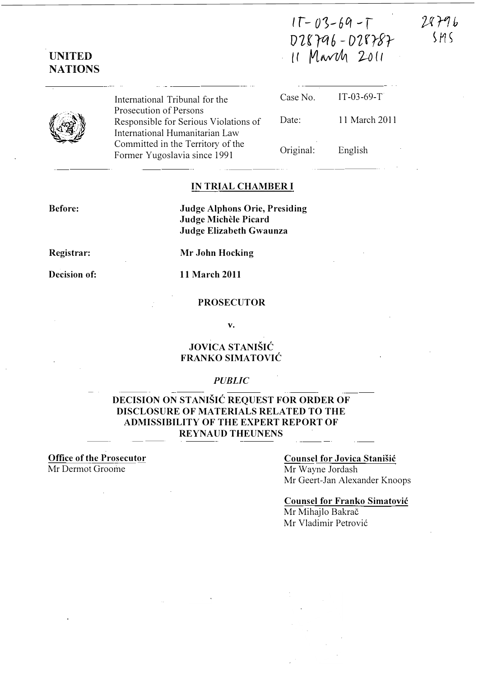$15 - 03 - 69 - 7$ D1K"(t16 - 07 rr5'r 11 March 2011

 $28796$  $SMS$ 



UNITED **NATIONS** 

> International Tribunal for the Prosecution of Persons Responsible for Serious Violations of International Humanitarian Law Committed in the Territory of the Former Yugoslavia since 1991

|         | Case No.  | $IT-03-69-T$  |
|---------|-----------|---------------|
| $f_{-}$ | Date:     | 11 March 2011 |
|         | Original: | English       |

#### IN TRIAL CHAMBER I

Before:

Judge Alphons Orie, Presiding Judge Michele Picard Judge Elizabeth Gwaunza

Registrar:

Mr John Hocking

Decision of:

11 March 2011

#### PROSECUTOR

v.

### JOVICA STANISIC FRANKO SIMATOVIC

### PUBLIC

### DECISION ON STANIŠIĆ REQUEST FOR ORDER OF DISCLOSURE OF MATERIALS RELATED TO THE ADMISSIBILITY OF THE EXPERT REPORT OF REYNAUD THEUNENS

Office of the Prosecutor Mr Dermot Groome

### Counsel for Jovica Stanisic

Mr Wayne Jordash Mr Geert-Jan Alexander Knoops

# Counsel for Franko Simatovic

Mr Mihajlo Bakrač Mr Vladimir Petrovic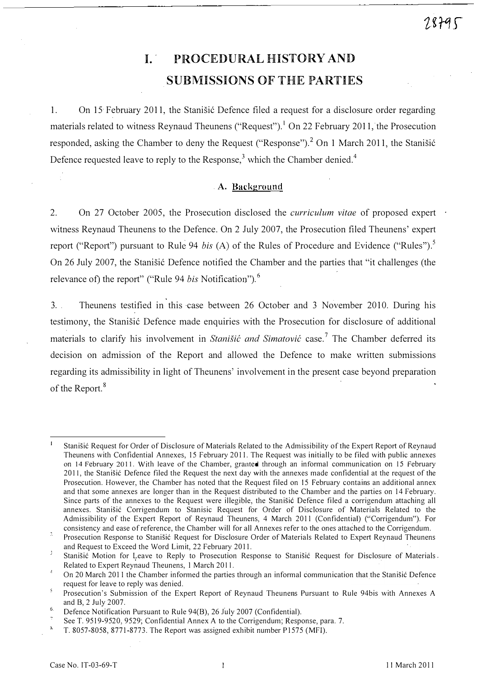# I. PROCEDURAL HISTORY AND SUBMISSIONS OF THE PARTIES

1. On 15 February 2011, the Stanisic Defence filed a request for a disclosure order regarding materials related to witness Reynaud Theunens ("Request").<sup>1</sup> On 22 February 2011, the Prosecution responded, asking the Chamber to deny the Request ("Response").<sup>2</sup> On 1 March 2011, the Stanisić Defence requested leave to reply to the Response, $3$  which the Chamber denied.<sup>4</sup>

#### . A. Background

2. On 27 October 2005, the Prosecution disclosed the *curriculum vitae* of proposed expert witness Reynaud Theunens to the Defence. On 2 July 2007, the Prosecution filed Theunens' expert report ("Report") pursuant to Rule 94 bis (A) of the Rules of Procedure and Evidence ("Rules").<sup>5</sup> On 26 July 2007, the Stanišić Defence notified the Chamber and the parties that "it challenges (the relevance of) the report" ("Rule 94 bis Notification").<sup>6</sup>

3. Theunens testified in this ·case between 26 October and 3 November 2010. During his testimony, the Stanišić Defence made enquiries with the Prosecution for disclosure of additional materials to clarify his involvement in Stanišić and Simatović case.<sup>7</sup> The Chamber deferred its decision on admission of the Report and allowed the Defence to make written submissions regarding its admissibility in light of Theunens' involvement in the present case beyond preparation of the Report.<sup>8</sup>

 $\mathbf{I}$ Stanišić Request for Order of Disclosure of Materials Related to the Admissibility of the Expert Report of Reynaud Theunens with Confidential Annexes, 15 February 2011. The Request was initially to be filed with public annexes on 14 February 2011. With leave of the Chamber, granted through an informal communication on 15 February 2011, the Stanišić Defence filed the Request the next day with the annexes made confidential at the request of the Prosecution. However, the Chamber has noted that the Request filed on 15 February contains an additional annex and that some annexes are longer than in the Request distributed to the Chamber and the parties on 14 February. Since parts of the annexes to the Request were illegible, the Stanišić Defence filed a corrigendum attaching all annexes. Stanišić Corrigendum to Stanisic Request for Order of Disclosure of Materials Related to the Admissibility of the Expert Report of Reynaud Theunens, 4 March 2011 (Confidential) ("Corrigendum"). For consistency and ease of reference, the Chamber will for all Annexes refer to the ones attached to the Corrigendum.

 $\bar{\mathcal{Z}}$ Prosecution Response to Stanišić Request for Disclosure Order of Materials Related to Expert Reynaud Theunens and Request to Exceed the Word Limit, 22 February 2011.

 $\overline{\mathbf{3}}$ Stanišić Motion for Leave to Reply to Prosecution Response to Stanišić Request for Disclosure of Materials. Related to Expert Reynaud Theunens, 1 March 2011.

 $\overline{A}$ On 20 March 2011 the Chamber informed the parties through an informal communication that the Stanišić Defence request for leave to reply was denied.

<sup>5</sup> Prosecution's Submission of the Expert Report of Reynaud Theunens Pursuant to Rule 94bis with Annexes A and B, 2 July 2007.

<sup>6.</sup>  Defence Notification Pursuant to Rule 94(B), 26 July 2007 (Confidential).

See T. 9519-9520, 9529; Confidential Annex A to the Corrigendum; Response, para. 7.

 $\bar{\mathbf{S}}$ T. 8057-8058, 8771-8773. The Report was assigned exhibit number P 1575 ( MFI).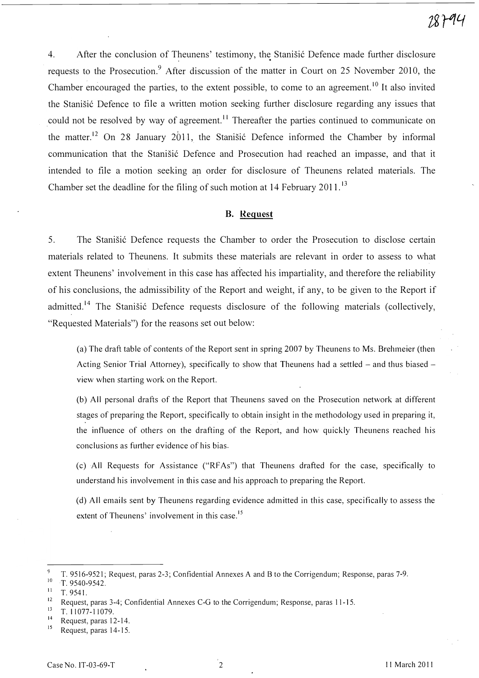4. After the conclusion of Theunens' testimony, the Stanišić Defence made further disclosure . . requests to the Prosecution.<sup>9</sup> After discussion of the matter in Court on 25 November 2010, the Chamber encouraged the parties, to the extent possible, to come to an agreement.<sup>10</sup> It also invited the Stanišić Defence to file a written motion seeking further disclosure regarding any issues that could not be resolved by way of agreement.<sup>11</sup> Thereafter the parties continued to communicate on the matter.<sup>12</sup> On 28 January 2011, the Stanisic Defence informed the Chamber by informal communication that the Stanišić Defence and Prosecution had reached an impasse, and that it intended to file a motion seeking an order for disclosure of Theunens related materials. The Chamber set the deadline for the filing of such motion at 14 February 2011.<sup>13</sup>

### B. Request

5. The Stanišić Defence requests the Chamber to order the Prosecution to disclose certain materials related to Theunens. It submits these materials are relevant in order to assess to what extent Theunens' involvement in this case has affected his impartiality, and therefore the reliability of his conclusions, the admissibility of the Report and weight, if any, to be given to the Report if admitted.<sup>14</sup> The Stanišić Defence requests disclosure of the following materials (collectively, "Requested Materials") for the reasons set out below:

(a) The draft table of contents of the Report sent in spring 2007 by Theunens to Ms. Brehmeier (then Acting Senior Trial Attorney), specifically to show that Theunens had a settled  $-$  and thus biased  $$ view when starting work on the Report.

(b) All personal drafts of the Report that Theunens saved on the Prosecution network at different stages of preparing the Report, specifically to obtain insight in the methodology used in preparing it, the influence of others on the drafting of the Report, and how quickly Theunens reached his conclusions as further evidence of his bias.

(c) All Requests for Assistance ("RFAs") that Theunens drafted for the case, specifically to understand his involvement in this case and his approach to preparing the Report.

(d) All emails sent by Theunens regarding evidence admitted in this case, specifically to assess the extent of Theunens' involvement in this case.<sup>15</sup>

 $\boldsymbol{9}$ T. 9516-9521; Request, paras 2-3; Confidential Annexes A and B to the Corrigendum; Response, paras 7-9.

 $10$  T. 9540-9542.

<sup>11</sup> T. 9541.

<sup>&</sup>lt;sup>12</sup> Request, paras 3-4; Confidential Annexes C-G to the Corrigendum; Response, paras 11-15.<br><sup>13</sup> T 11077 11079

<sup>13</sup> T. I I077-11079.

 $^{14}$  Request, paras 12-14.

Request, paras 14-15.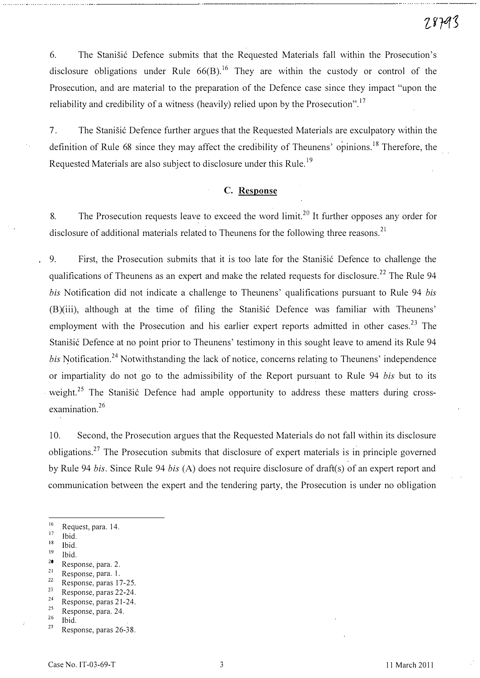# 28793

6. The Stanišić Defence submits that the Requested Materials fall within the Prosecution's disclosure obligations under Rule  $66(B)$ .<sup>16</sup> They are within the custody or control of the Prosecution, and are material to the preparation of the Defence case since they impact "upon the reliability and credibility of a witness (heavily) relied upon by the Prosecution".<sup>17</sup>

7. The Stanistic Defence further argues that the Requested Materials are exculpatory within the definition of Rule 68 since they may affect the credibility of Theunens' opinions.<sup>18</sup> Therefore, the Requested Materials are also subject to disclosure under this Rule.<sup>19</sup>

### C. Response

8. The Prosecution requests leave to exceed the word limit.<sup>20</sup> It further opposes any order for disclosure of additional materials related to Theunens for the following three reasons.<sup>21</sup>

9. First, the Prosecution submits that it is too late for the Stanistic Defence to challenge the qualifications of Theunens as an expert and make the related requests for disclosure.<sup>22</sup> The Rule 94 bis Notification did not indicate a challenge to Theunens' qualifications pursuant to Rule 94 bis (B)(iii), although at the time of filing the Stanisic Defence was familiar with Theunens' employment with the Prosecution and his earlier expert reports admitted in other cases.<sup>23</sup> The Stanišić Defence at no point prior to Theunens' testimony in this sought leave to amend its Rule 94 bis Notification.<sup>24</sup> Notwithstanding the lack of notice, concerns relating to Theunens' independence or impartiality do not go to the admissibility of the Report pursuant to Rule 94 bis but to its weight.<sup>25</sup> The Stanisić Defence had ample opportunity to address these matters during crossexamination.<sup>26</sup>

10. Second, the Prosecution argues that the Requested Materials do not fall within its disclosure obligations.<sup>27</sup> The Prosecution submits that disclosure of expert materials is in principle governed by Rule 94 bis. Since Rule 94 bis (A) does not require disclosure of draft(s) of an expert report and communication between the expert and the tendering party, the Prosecution is under no obligation

- $\frac{19}{20}$  Ibid.
- $\frac{20}{21}$  Response, para. 2.
- $\frac{21}{22}$  Response, para. 1.
- $\frac{22}{23}$  Response, paras 17-25.
- $\frac{23}{24}$  Response, paras 22-24.
- <sup>24</sup> Response, paras 21-24.  $rac{25}{26}$  Response, para. 24.

 $\frac{16}{17}$  Request, para. 14.

 $\frac{17}{18}$  Ibid.

 $\frac{18}{19}$  Ibid.

 $\frac{26}{27}$  Ibid.

Response, paras 26-38.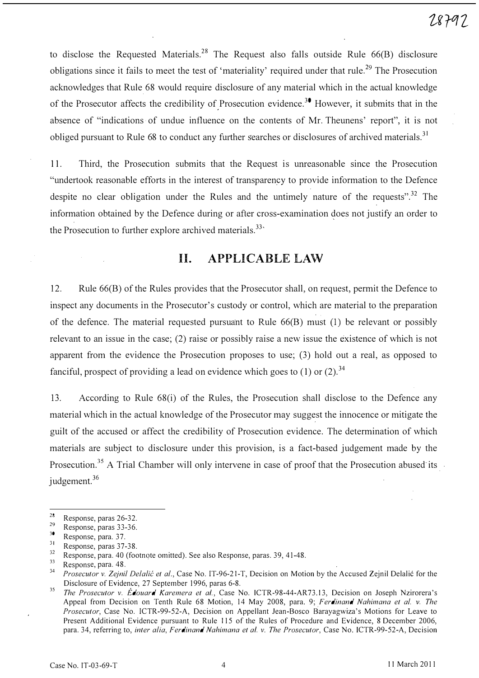to disclose the Requested Materials.<sup>28</sup> The Request also falls outside Rule  $66(B)$  disclosure obligations since it fails to meet the test of 'materiality' required under that rule.<sup>29</sup> The Prosecution acknowledges that Rule 68 would require disclosure of any material which in the actual knowledge of the Prosecutor affects the credibility of Prosecution evidence.<sup>30</sup> However, it submits that in the absence of "indications of undue influence on the contents of Mr. Theunens' report", it is not obliged pursuant to Rule 68 to conduct any further searches or disclosures of archived materials.<sup>31</sup>

11. Third, the Prosecution submits that the Request is umeasonable since the Prosecution "undertook reasonable efforts in the interest of transparen�y to provide information to the Defence despite no clear obligation under the Rules and the untimely nature of the requests".<sup>32</sup> The information obtained by the Defence during or after cross-examination does not justify an order to the Prosecution to further explore archived materials.<sup>33,</sup>

# 11. APPLICABLE LAW

12. Rule 66(B) of the Rules provides that the Prosecutor shall, on request, permit the Defence to inspect any documents in the Prosecutor's custody or control, which are material to the preparation of the defence. The material requested pursuant to Rule 66(B) must (1) be relevant or possibly relevant to an issue in the case; (2) raise or possibly raise a new issue the existence of which is not apparent from the evidence the Prosecution proposes to use; (3) hold out a real, as opposed to fanciful, prospect of providing a lead on evidence which goes to (1) or (2).<sup>34</sup>

13. According to Rule 68(i) of the Rules, the Prosecution shall disclose to the Defence any material which in the actual knowledge of the Prosecutor may suggest the innocence or mitigate the guilt of the accused or affect the credibility of Prosecution evidence. The determination of which materials are subject to disclosure under this provision, is a fact-based judgement made by the Prosecution.<sup>35</sup> A Trial Chamber will only intervene in case of proof that the Prosecution abused its judgement.<sup>36</sup>

 $\frac{28}{29}$  Response, paras 26-32.

 $^{29}$  Response, paras 33-36.

 $\frac{30}{31}$  Response, para. 37.

 $\frac{31}{32}$  Response, paras 37-38.

 $32$  Response, para. 40 (footnote omitted). See also Response, paras. 39, 41-48.

Response, para. 48.

<sup>34</sup> Prosecutor v. Zejnil Delalić et al., Case No. IT-96-21-T, Decision on Motion by the Accused Zejnil Delalić for the Disclosure of Evidence, 27 September 1996, paras 6-S.

The Prosecutor v. Edouard Karemera et al., Case No. ICTR-98-44-AR73.13, Decision on Joseph Nzirorera's Appeal from Decision on Tenth Rule 68 Motion, 14 May 2008, para. 9; Ferdinand Nahimana et al. v. The Prosecutor, Case No. ICTR-99-S2-A, Decision on Appellant Jean-Bosco Barayagwiza's Motions for Leave to Present Additional Evidence pursuant to Rule 115 of the Rules of Procedure and Evidence, 8 December 2006, para. 34, referring to, inter alia, Ferdinand Nahimana et al. v. The Prosecutor, Case No. ICTR-99-52-A, Decision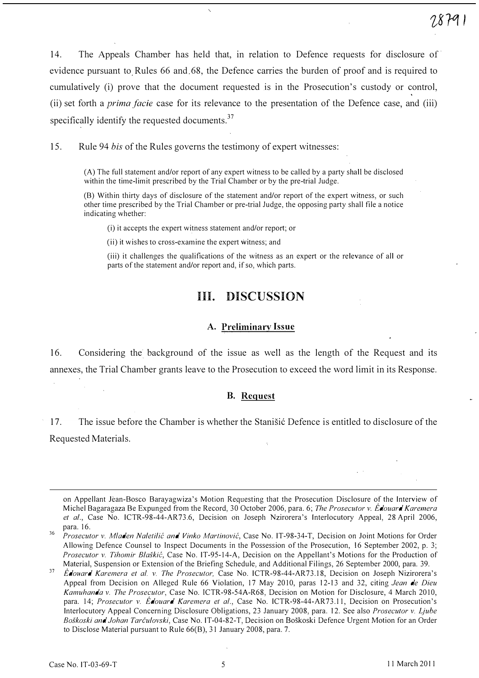14. The Appeals Chamber has held that, in relation to Defence requests for disclosure of evidence pursuant to Rules 66 and 68, the Defence carries the burden of proof and is required to cumulatively (i) prove that the document requested is in the Prosecution's custody or control, (ii) set forth a prima facie case for its relevance to the presentation of the Defence case, and (iii) specifically identify the requested documents.<sup>37</sup>

15. Rule 94 his of the Rules governs the testimony of expert witnesses:

(A) The full statement and/or report of any expert witness to be called by a party shall be disclosed within the time-limit prescribed by the Trial Chamber or by the pre-trial Judge.

(B) Within thirty days of disclosure of the statement and/or report of the expert witness, or such other time prescribed by the Trial Chamber or pre-trial Judge, the opposing party shall file a notice indicating whether:

(i) it accepts the expert witness statement and/or report; or

(ii) it wishes to cross-examine the expert witness; and

(iii) it challenges the qualifications of the witness as an expert or the relevance of all or parts of the statement and/or report and, if so, which parts.

## Ill. DISCUSSION

#### A. Preliminary Issue

16. Considering the background of the issue as well as the length of the Request and its annexes, the Trial Chamber grants leave to the Prosecution to exceed the word limit in its Response.

#### B. Request

17. The issue before the Chamber is whether the Stanisic Defence is entitled to disclosure of the Requested Materials.

on Appellant Jean-Bosco Barayagwiza's Motion Requesting that the Prosecution Disclosure of the Interview of Michel Bagaragaza Be Expunged from the Record, 30 October 2006, para. 6; The Prosecutor v. Edouard Karemera et al., Case No. ICTR-98-44-AR73.6, Decision on Joseph Nzirorera's Interlocutory Appeal, 28 April 2006, para. 16.

<sup>&</sup>lt;sup>36</sup> Prosecutor v. Mladen Naletilić and Vinko Martinović, Case No. IT-98-34-T, Decision on Joint Motions for Order Allowing Defence Counsel to Inspect Documents in the Possession of the Prosecution, 16 September 2002, p. 3; Prosecutor v. Tihomir Blaškić, Case No. IT-95-14-A, Decision on the Appellant's Motions for the Production of Material, Suspension or Extension of the Briefing Schedule, and Additional Filings, 26 September 2000, para. 39.

Edollard Karemera et a!. v. The Prosecutor, Case No. ICTR-9S-44-AR73.1S, Decision on Joseph Nizirorera's Appeal from Decision on Alleged Rule 66 Violation, 17 May 2010, paras 12-13 and 32, citing Jean de Dieu 37 Kamuhanda v. The Prosecutor, Case No. ICTR-9S-54A-R6S, Decision on Motion for Disclosure, 4 March 2010, para. 14; Prosecutor v. Edouard Karemera et al., Case No. ICTR-98-44-AR73.11, Decision on Prosecution's Interlocutory Appeal Concerning Disclosure Obligations, 23 January 200S, para. 12. See also Prosecutor v. Ljube Boškoski and Johan Tarčulovski, Case No. IT-04-82-T, Decision on Boškoski Defence Urgent Motion for an Order to Disclose Material pursuant to Rule 66(B), 31 January 200S, para. 7.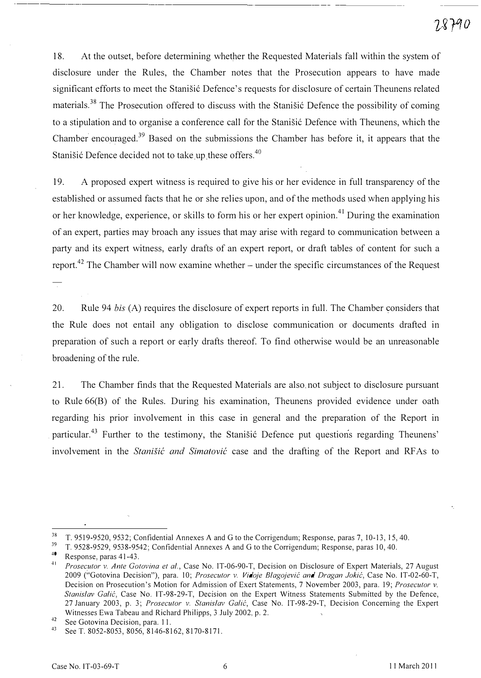# 28790

 $\pm$ . The Requested Materials are subject to disclosure pursuant to disclosure pursuant to the parties.

18. At the outset, before determining whether the Requested Materials fall within the system of disclosure under the Rules, the Chamber notes that the Prosecution appears to have made significant efforts to meet the Stanišić Defence's requests for disclosure of certain Theunens related materials.<sup>38</sup> The Prosecution offered to discuss with the Stanistic Defence the possibility of coming to a stipulation and to organise a conference call for the Stanisić Defence with Theunens, which the Chamber encouraged.39 Based on the submissions the Chamber has before it, it appears that the Stanišić Defence decided not to take up these offers. $40$ 

19. A proposed expert witness is required to give his or her evidence in full transparency of the established or assumed facts that he or she relies upon, and of the methods used when applying his or her knowledge, experience, or skills to form his or her expert opinion.<sup>41</sup> During the examination of an expert, parties may broach any issues that may arise with regard to communication between a party and its expert witness, early drafts of an expert report, or draft tables of content for such a report.<sup>42</sup> The Chamber will now examine whether – under the specific circumstances of the Request

20. Rule 94 bis (A) requires the disclosure of expert reports in full. The Chamber considers that the Rule does not entail any obligation to disclose communication or documents drafted in preparation of such a report or early drafts thereof. To find otherwise would be an unreasonable broadening of the rule.

21. The Chamber finds that the Requested Materials are also,not subject to disclosure pursuant to Rule 66(B) of the Rules. During his examination, Theunens provided evidence under oath regarding his prior involvement in this case in general and the preparation of the Report in particular.<sup>43</sup> Further to the testimony, the Stanišić Defence put questions regarding Theunens' involvement in the *Stanišić and Simatović* case and the drafting of the Report and RFAs to

 $38$  T, 9519-9520, 9532; Confidential Annexes A and G to the Corrigendum; Response, paras 7, 10-13, 15, 40.

<sup>39</sup>T. 9528-9529, 9538-9542; Confidential Annexes A and G to the Corrigendum; Response, paras 10, 40.

<sup>4</sup> Response, paras 41-43.

Prosecutor v. Ante Gotovina et al., Case No. IT-06-90-T, Decision on Disclosure of Expert Materials, 27 August 2009 ("Gotovina Decision"), para. 10; Prosecutor v. Vidoje Blagojević and Dragan Jokić, Case No. IT-02-60-T, Decision on Prosecution's Motion for Admission of Exert Statements, 7 November 2003, para. 19; *Prosecutor v.* Stanislav Galić, Case No. IT-98-29-T, Decision on the Expert Witness Statements Submitted by the Defence, 27 January 2003, p. 3; Prosecutor v. Stanislav Galić, Case No. IT-98-29-T, Decision Concerning the Expert Witnesses Ewa Tabeau and Richard Philipps, 3 July 2002, p. 2.

<sup>&</sup>lt;sup>42</sup> See Gotovina Decision, para. 11.<br><sup>43</sup> See T 8052-8053, 8056, 8146-81

See T. 8052-8053, 8056, 8146-8162, 8170-8171.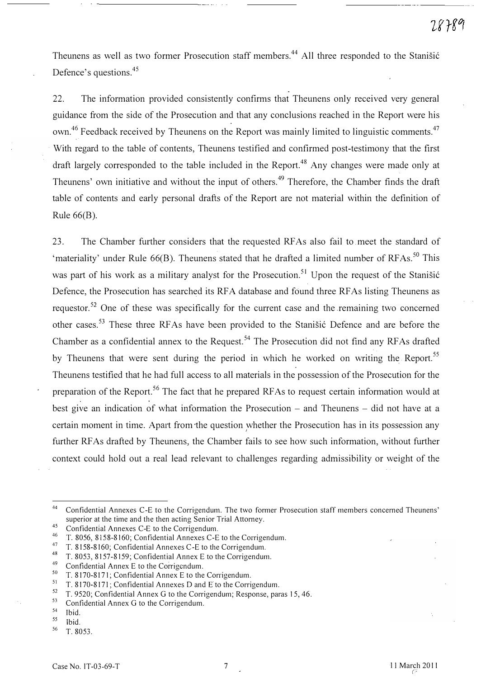Theunens as well as two former Prosecution staff members.<sup>44</sup> All three responded to the Stanišić Defence's questions.45

. 22. The information provided consistently confirms that Theunens only received very general guidance from the side of the Prosecution and that any conclusions reached in the Report were his own.<sup>46</sup> Feedback received by Theunens on the Report was mainly limited to linguistic comments.<sup>47</sup> With regard to the table of contents, Theunens testified and confirmed post-testimony that the first draft largely corresponded to the table included in the Report.<sup>48</sup> Any changes were made only at Theunens' own initiative and without the input of others.<sup>49</sup> Therefore, the Chamber finds the draft table of contents and early personal drafts of the Report are not material within the definition of Rule  $66(B)$ .

23. The Chamber further considers that the requested RF As also fail to. meet the standard of 'materiality' under Rule  $66(B)$ . Theunens stated that he drafted a limited number of RFAs.<sup>50</sup> This was part of his work as a military analyst for the Prosecution.<sup>51</sup> Upon the request of the Stanisić Defence, the Prosecution has searched its RFA database and found three RFAs listing Theunens as requestor.<sup>52</sup> One of these was specifically for the current case and the remaining two concerned other cases.<sup>53</sup> These three RFAs have been provided to the Stanisic Defence and are before the Chamber as a confidential annex to the Request. 54 The Prosecution did not find any RF As drafted by Theunens that were sent during the period in which he worked on writing the Report.<sup>55</sup> Theunens testified that he had full access to all materials in the possession of the Prosecution for the preparation of the Report.<sup>56</sup> The fact that he prepared RFAs to request certain information would at best give an indication of what information the Prosecution  $-$  and Theunens  $-$  did not have at a certain moment in time. Apart from the question whether the Prosecution has in its possession any I further RF As drafted by Theunens, the Chamber fails to see how such information, without further context could hold out a real lead relevant to challenges regarding admissibility or weight of the

<sup>&</sup>lt;sup>44</sup> Confidential Annexes C-E to the Corrigendum. The two former Prosecution staff members concerned Theunens' superior at the time and the then acting Senior Trial Attorney.

<sup>&</sup>lt;sup>45</sup> Confidential Annexes C-E to the Corrigendum.

<sup>&</sup>lt;sup>46</sup> T. 8056, 8158-8160; Confidential Annexes C-E to the Corrigendum.

<sup>&</sup>lt;sup>47</sup> T. 8158-8160; Confidential Annexes C-E to the Corrigendum.

<sup>&</sup>lt;sup>48</sup> T. 8053, 8157-8159; Confidential Annex E to the Corrigendum.

<sup>&</sup>lt;sup>49</sup> Confidential Annex E to the Corrigendum.<br><sup>50</sup> T 8170-8171: Confidential Annex E to the

<sup>&</sup>lt;sup>50</sup> T. 8170-8171; Confidential Annex E to the Corrigendum.

T. 8170-8171; Confidential Annexes D and E to the Corrigendum.

<sup>52&</sup>lt;br>53 T. 9520; Confidential Annex G to the Corrigendum; Response, paras 15, 46.

<sup>&</sup>lt;sup>53</sup> Confidential Annex G to the Corrigendum.

 $\frac{54}{55}$  Ibid.

 $55$  Ibid.<br> $56$  T  $\Omega$ 

T. 8053.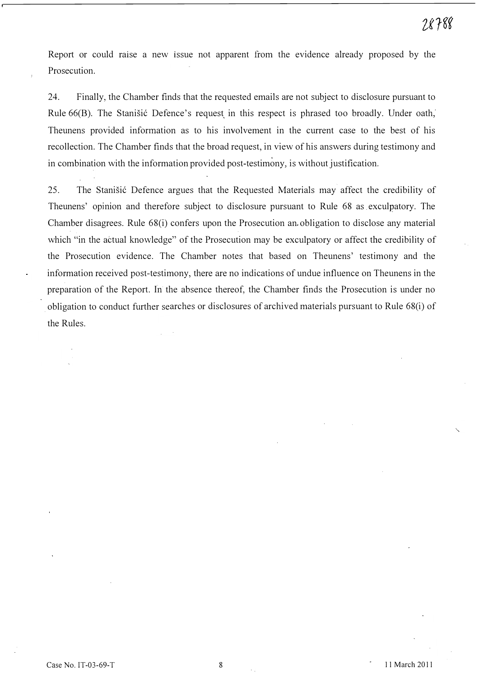Report or could raise a new issue not apparent from the evidence already proposed by the Prosecution.

24. Finally, the Chamber finds that the requested emails are not subject to disclosure pursuant to Rule 66(B). The Stanisić Defence's request in this respect is phrased too broadly. Under oath, Theunens provided information as to his involvement in the current case to the best of his recollection. The Chamber finds that the broad request, in view of his answers during testimony and in combination with the information provided post-testimony, is without justification.

25. The Stanišić Defence argues that the Requested Materials may affect the credibility of Theunens' opinion and therefore subject to disclosure pursuant to Rule 68 as. exculpatory. The Chamber disagrees. Rule 68(i) confers upon the Prosecution an obligation to disclose any material which "in the actual knowledge" of the Prosecution may be exculpatory or affect the credibility of the Prosecution evidence. The Chamber notes that based on Theunens' testimony and the information received post-testimony, there are no indications of undue influence on Theunens in the preparation of the Report. In the absence thereof, the Chamber finds the Prosecution is under no obligation to conduct further searches or disclosures of archived materials pursuant to Rule 68(i) of the Rules.